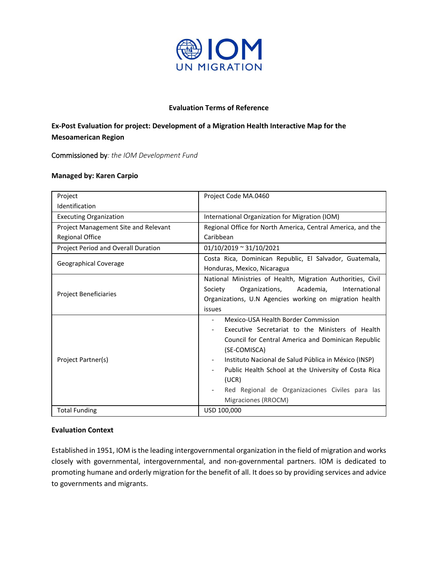

### **Evaluation Terms of Reference**

# **Ex-Post Evaluation for project: Development of a Migration Health Interactive Map for the Mesoamerican Region**

Commissioned by*: the IOM Development Fund*

#### **Managed by: Karen Carpio**

| Project                              | Project Code MA.0460                                                                                                                                                                                                                                                                                                                                             |  |  |
|--------------------------------------|------------------------------------------------------------------------------------------------------------------------------------------------------------------------------------------------------------------------------------------------------------------------------------------------------------------------------------------------------------------|--|--|
| Identification                       |                                                                                                                                                                                                                                                                                                                                                                  |  |  |
| <b>Executing Organization</b>        | International Organization for Migration (IOM)                                                                                                                                                                                                                                                                                                                   |  |  |
| Project Management Site and Relevant | Regional Office for North America, Central America, and the                                                                                                                                                                                                                                                                                                      |  |  |
| <b>Regional Office</b>               | Caribbean                                                                                                                                                                                                                                                                                                                                                        |  |  |
| Project Period and Overall Duration  | $01/10/2019 \approx 31/10/2021$                                                                                                                                                                                                                                                                                                                                  |  |  |
| Geographical Coverage                | Costa Rica, Dominican Republic, El Salvador, Guatemala,<br>Honduras, Mexico, Nicaragua                                                                                                                                                                                                                                                                           |  |  |
| <b>Project Beneficiaries</b>         | National Ministries of Health, Migration Authorities, Civil<br>Organizations,<br>Academia,<br>International<br>Society<br>Organizations, U.N Agencies working on migration health<br>issues                                                                                                                                                                      |  |  |
| Project Partner(s)                   | Mexico-USA Health Border Commission<br>Executive Secretariat to the Ministers of Health<br>Council for Central America and Dominican Republic<br>(SE-COMISCA)<br>Instituto Nacional de Salud Pública in México (INSP)<br>Public Health School at the University of Costa Rica<br>(UCR)<br>Red Regional de Organizaciones Civiles para las<br>Migraciones (RROCM) |  |  |
| <b>Total Funding</b>                 | USD 100,000                                                                                                                                                                                                                                                                                                                                                      |  |  |

#### **Evaluation Context**

Established in 1951, IOM is the leading intergovernmental organization in the field of migration and works closely with governmental, intergovernmental, and non-governmental partners. IOM is dedicated to promoting humane and orderly migration for the benefit of all. It does so by providing services and advice to governments and migrants.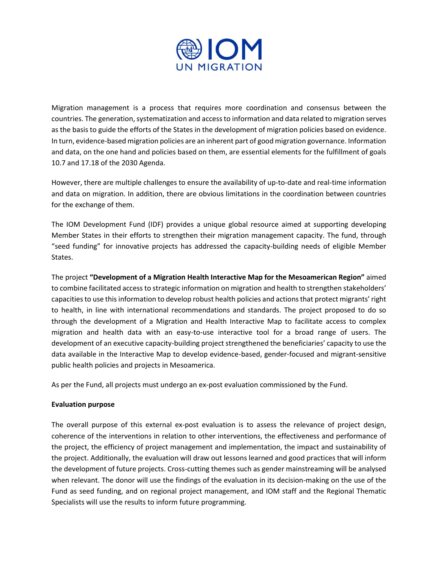

Migration management is a process that requires more coordination and consensus between the countries. The generation, systematization and access to information and data related to migration serves as the basis to guide the efforts of the States in the development of migration policies based on evidence. In turn, evidence-based migration policies are an inherent part of good migration governance. Information and data, on the one hand and policies based on them, are essential elements for the fulfillment of goals 10.7 and 17.18 of the 2030 Agenda.

However, there are multiple challenges to ensure the availability of up-to-date and real-time information and data on migration. In addition, there are obvious limitations in the coordination between countries for the exchange of them.

The IOM Development Fund (IDF) provides a unique global resource aimed at supporting developing Member States in their efforts to strengthen their migration management capacity. The fund, through "seed funding" for innovative projects has addressed the capacity-building needs of eligible Member States.

The project **"Development of a Migration Health Interactive Map for the Mesoamerican Region"** aimed to combine facilitated access to strategic information on migration and health to strengthen stakeholders' capacities to use this information to develop robust health policies and actions that protect migrants' right to health, in line with international recommendations and standards. The project proposed to do so through the development of a Migration and Health Interactive Map to facilitate access to complex migration and health data with an easy-to-use interactive tool for a broad range of users. The development of an executive capacity-building project strengthened the beneficiaries' capacity to use the data available in the Interactive Map to develop evidence-based, gender-focused and migrant-sensitive public health policies and projects in Mesoamerica.

As per the Fund, all projects must undergo an ex-post evaluation commissioned by the Fund.

#### **Evaluation purpose**

The overall purpose of this external ex-post evaluation is to assess the relevance of project design, coherence of the interventions in relation to other interventions, the effectiveness and performance of the project, the efficiency of project management and implementation, the impact and sustainability of the project. Additionally, the evaluation will draw out lessons learned and good practices that will inform the development of future projects. Cross-cutting themes such as gender mainstreaming will be analysed when relevant. The donor will use the findings of the evaluation in its decision-making on the use of the Fund as seed funding, and on regional project management, and IOM staff and the Regional Thematic Specialists will use the results to inform future programming.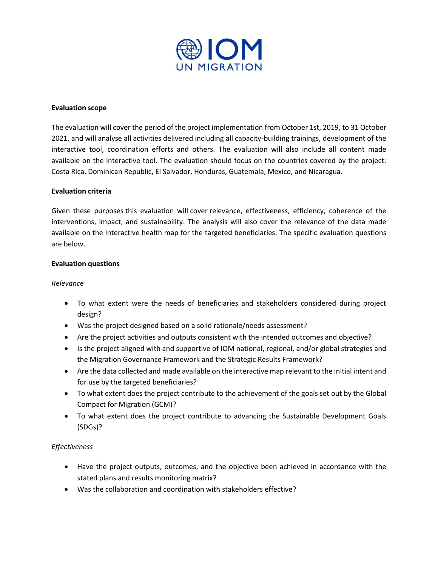

#### **Evaluation scope**

The evaluation will cover the period of the project implementation from October 1st, 2019, to 31 October 2021, and will analyse all activities delivered including all capacity-building trainings, development of the interactive tool, coordination efforts and others. The evaluation will also include all content made available on the interactive tool. The evaluation should focus on the countries covered by the project: Costa Rica, Dominican Republic, El Salvador, Honduras, Guatemala, Mexico, and Nicaragua.

#### **Evaluation criteria**

Given these purposes this evaluation will cover relevance, effectiveness, efficiency, coherence of the interventions, impact, and sustainability. The analysis will also cover the relevance of the data made available on the interactive health map for the targeted beneficiaries. The specific evaluation questions are below.

#### **Evaluation questions**

#### *Relevance*

- To what extent were the needs of beneficiaries and stakeholders considered during project design?
- Was the project designed based on a solid rationale/needs assessment?
- Are the project activities and outputs consistent with the intended outcomes and objective?
- Is the project aligned with and supportive of IOM national, regional, and/or global strategies and the Migration Governance Framework and the Strategic Results Framework?
- Are the data collected and made available on the interactive map relevant to the initial intent and for use by the targeted beneficiaries?
- To what extent does the project contribute to the achievement of the goals set out by the Global Compact for Migration (GCM)?
- To what extent does the project contribute to advancing the Sustainable Development Goals (SDGs)?

#### *Effectiveness*

- Have the project outputs, outcomes, and the objective been achieved in accordance with the stated plans and results monitoring matrix?
- Was the collaboration and coordination with stakeholders effective?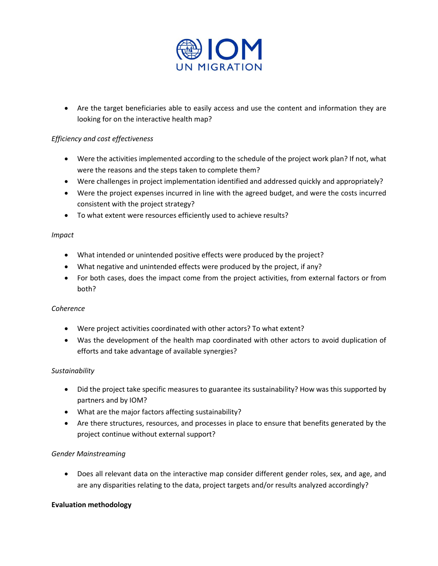

• Are the target beneficiaries able to easily access and use the content and information they are looking for on the interactive health map?

# *Efficiency and cost effectiveness*

- Were the activities implemented according to the schedule of the project work plan? If not, what were the reasons and the steps taken to complete them?
- Were challenges in project implementation identified and addressed quickly and appropriately?
- Were the project expenses incurred in line with the agreed budget, and were the costs incurred consistent with the project strategy?
- To what extent were resources efficiently used to achieve results?

#### *Impact*

- What intended or unintended positive effects were produced by the project?
- What negative and unintended effects were produced by the project, if any?
- For both cases, does the impact come from the project activities, from external factors or from both?

#### *Coherence*

- Were project activities coordinated with other actors? To what extent?
- Was the development of the health map coordinated with other actors to avoid duplication of efforts and take advantage of available synergies?

#### *Sustainability*

- Did the project take specific measures to guarantee its sustainability? How was this supported by partners and by IOM?
- What are the major factors affecting sustainability?
- Are there structures, resources, and processes in place to ensure that benefits generated by the project continue without external support?

# *Gender Mainstreaming*

• Does all relevant data on the interactive map consider different gender roles, sex, and age, and are any disparities relating to the data, project targets and/or results analyzed accordingly?

#### **Evaluation methodology**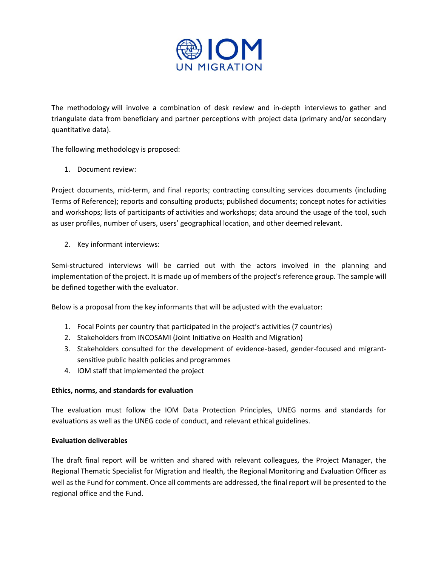

The methodology will involve a combination of desk review and in-depth interviews to gather and triangulate data from beneficiary and partner perceptions with project data (primary and/or secondary quantitative data).

The following methodology is proposed:

1. Document review:

Project documents, mid-term, and final reports; contracting consulting services documents (including Terms of Reference); reports and consulting products; published documents; concept notes for activities and workshops; lists of participants of activities and workshops; data around the usage of the tool, such as user profiles, number of users, users' geographical location, and other deemed relevant.

2. Key informant interviews:

Semi-structured interviews will be carried out with the actors involved in the planning and implementation of the project. It is made up of members of the project's reference group. The sample will be defined together with the evaluator.

Below is a proposal from the key informants that will be adjusted with the evaluator:

- 1. Focal Points per country that participated in the project's activities (7 countries)
- 2. Stakeholders from INCOSAMI (Joint Initiative on Health and Migration)
- 3. Stakeholders consulted for the development of evidence-based, gender-focused and migrantsensitive public health policies and programmes
- 4. IOM staff that implemented the project

#### **Ethics, norms, and standards for evaluation**

The evaluation must follow the IOM Data Protection Principles, UNEG norms and standards for evaluations as well as the UNEG code of conduct, and relevant ethical guidelines.

### **Evaluation deliverables**

The draft final report will be written and shared with relevant colleagues, the Project Manager, the Regional Thematic Specialist for Migration and Health, the Regional Monitoring and Evaluation Officer as well as the Fund for comment. Once all comments are addressed, the final report will be presented to the regional office and the Fund.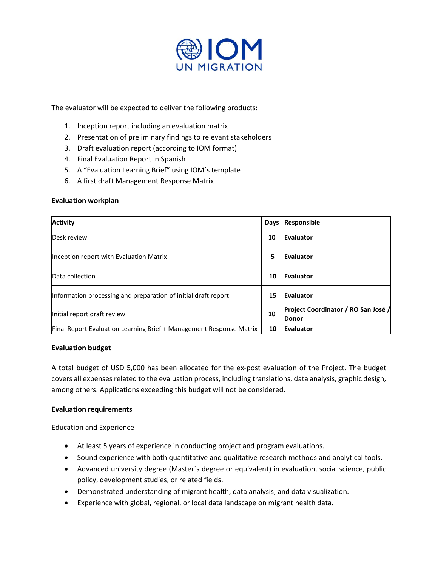

The evaluator will be expected to deliver the following products:

- 1. Inception report including an evaluation matrix
- 2. Presentation of preliminary findings to relevant stakeholders
- 3. Draft evaluation report (according to IOM format)
- 4. Final Evaluation Report in Spanish
- 5. A "Evaluation Learning Brief" using IOM´s template
- 6. A first draft Management Response Matrix

#### **Evaluation workplan**

| <b>Activity</b>                                                     | Days | Responsible                                         |
|---------------------------------------------------------------------|------|-----------------------------------------------------|
| Desk review                                                         | 10   | Evaluator                                           |
| Inception report with Evaluation Matrix                             | 5    | Evaluator                                           |
| Data collection                                                     | 10   | Evaluator                                           |
| Information processing and preparation of initial draft report      | 15   | Evaluator                                           |
| Initial report draft review                                         | 10   | Project Coordinator / RO San José /<br><b>Donor</b> |
| Final Report Evaluation Learning Brief + Management Response Matrix | 10   | Evaluator                                           |

#### **Evaluation budget**

A total budget of USD 5,000 has been allocated for the ex-post evaluation of the Project. The budget covers all expenses related to the evaluation process, including translations, data analysis, graphic design, among others. Applications exceeding this budget will not be considered.

#### **Evaluation requirements**

Education and Experience

- At least 5 years of experience in conducting project and program evaluations.
- Sound experience with both quantitative and qualitative research methods and analytical tools.
- Advanced university degree (Master´s degree or equivalent) in evaluation, social science, public policy, development studies, or related fields.
- Demonstrated understanding of migrant health, data analysis, and data visualization.
- Experience with global, regional, or local data landscape on migrant health data.